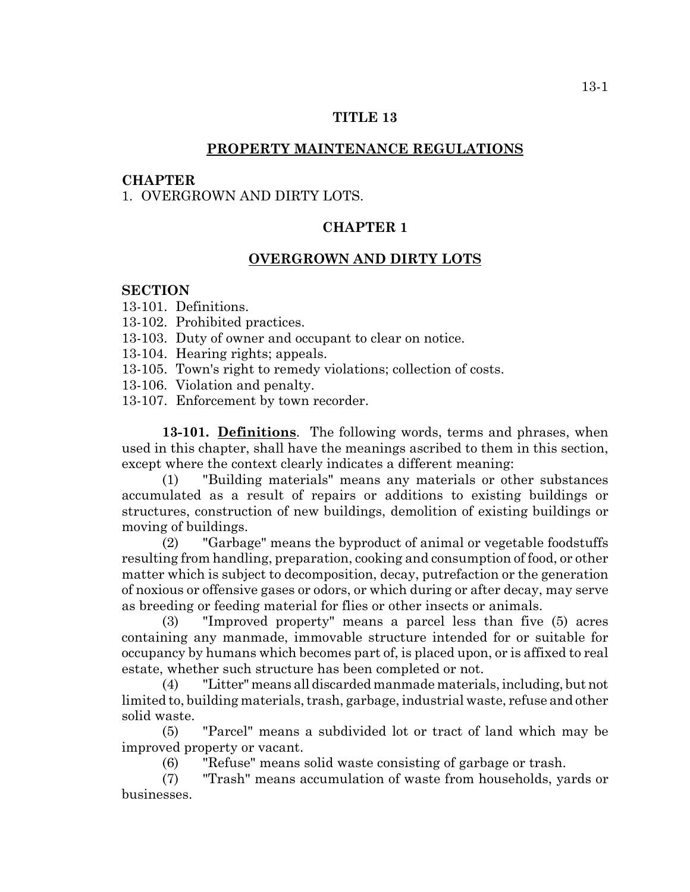### **TITLE 13**

## **PROPERTY MAINTENANCE REGULATIONS**

#### **CHAPTER**

1. OVERGROWN AND DIRTY LOTS.

#### **CHAPTER 1**

#### **OVERGROWN AND DIRTY LOTS**

### **SECTION**

- 13-101. Definitions.
- 13-102. Prohibited practices.
- 13-103. Duty of owner and occupant to clear on notice.
- 13-104. Hearing rights; appeals.
- 13-105. Town's right to remedy violations; collection of costs.
- 13-106. Violation and penalty.
- 13-107. Enforcement by town recorder.

**13-101. Definitions**. The following words, terms and phrases, when used in this chapter, shall have the meanings ascribed to them in this section, except where the context clearly indicates a different meaning:

(1) "Building materials" means any materials or other substances accumulated as a result of repairs or additions to existing buildings or structures, construction of new buildings, demolition of existing buildings or moving of buildings.

(2) "Garbage" means the byproduct of animal or vegetable foodstuffs resulting from handling, preparation, cooking and consumption of food, or other matter which is subject to decomposition, decay, putrefaction or the generation of noxious or offensive gases or odors, or which during or after decay, may serve as breeding or feeding material for flies or other insects or animals.

(3) "Improved property" means a parcel less than five (5) acres containing any manmade, immovable structure intended for or suitable for occupancy by humans which becomes part of, is placed upon, or is affixed to real estate, whether such structure has been completed or not.

(4) "Litter" means all discarded manmade materials, including, but not limited to, building materials, trash, garbage, industrial waste, refuse and other solid waste.

(5) "Parcel" means a subdivided lot or tract of land which may be improved property or vacant.

(6) "Refuse" means solid waste consisting of garbage or trash.

(7) "Trash" means accumulation of waste from households, yards or businesses.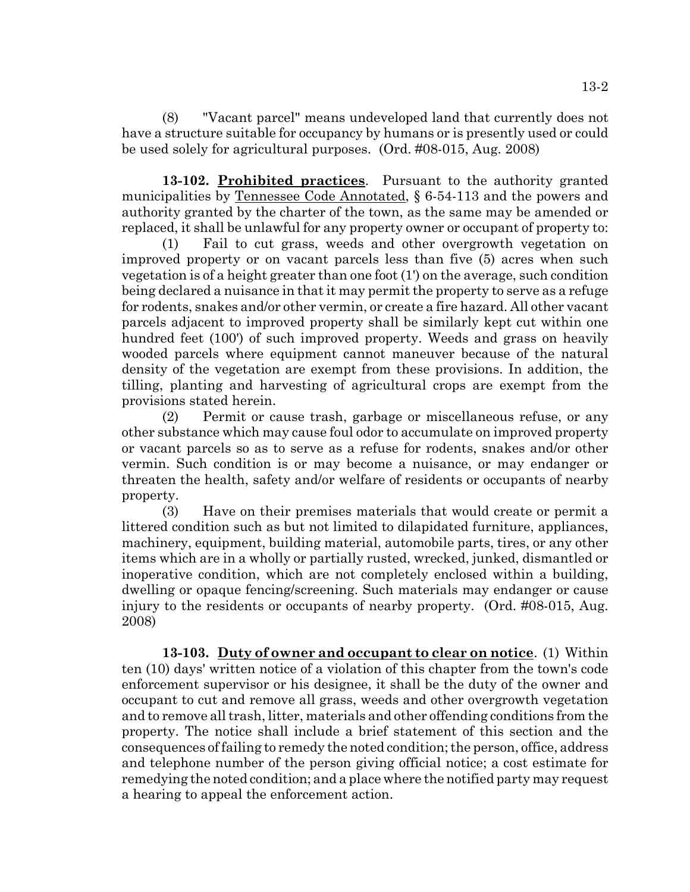(8) "Vacant parcel" means undeveloped land that currently does not have a structure suitable for occupancy by humans or is presently used or could be used solely for agricultural purposes. (Ord. #08-015, Aug. 2008)

**13-102. Prohibited practices**. Pursuant to the authority granted municipalities by <u>Tennessee Code Annotated</u>, § 6-54-113 and the powers and authority granted by the charter of the town, as the same may be amended or replaced, it shall be unlawful for any property owner or occupant of property to:

(1) Fail to cut grass, weeds and other overgrowth vegetation on improved property or on vacant parcels less than five (5) acres when such vegetation is of a height greater than one foot (1') on the average, such condition being declared a nuisance in that it may permit the property to serve as a refuge for rodents, snakes and/or other vermin, or create a fire hazard. All other vacant parcels adjacent to improved property shall be similarly kept cut within one hundred feet (100') of such improved property. Weeds and grass on heavily wooded parcels where equipment cannot maneuver because of the natural density of the vegetation are exempt from these provisions. In addition, the tilling, planting and harvesting of agricultural crops are exempt from the provisions stated herein.

(2) Permit or cause trash, garbage or miscellaneous refuse, or any other substance which may cause foul odor to accumulate on improved property or vacant parcels so as to serve as a refuse for rodents, snakes and/or other vermin. Such condition is or may become a nuisance, or may endanger or threaten the health, safety and/or welfare of residents or occupants of nearby property.

(3) Have on their premises materials that would create or permit a littered condition such as but not limited to dilapidated furniture, appliances, machinery, equipment, building material, automobile parts, tires, or any other items which are in a wholly or partially rusted, wrecked, junked, dismantled or inoperative condition, which are not completely enclosed within a building, dwelling or opaque fencing/screening. Such materials may endanger or cause injury to the residents or occupants of nearby property. (Ord. #08-015, Aug. 2008)

**13-103. Duty of owner and occupant to clear on notice**. (1) Within ten (10) days' written notice of a violation of this chapter from the town's code enforcement supervisor or his designee, it shall be the duty of the owner and occupant to cut and remove all grass, weeds and other overgrowth vegetation and to remove all trash, litter, materials and other offending conditions from the property. The notice shall include a brief statement of this section and the consequences of failing to remedy the noted condition; the person, office, address and telephone number of the person giving official notice; a cost estimate for remedying the noted condition; and a place where the notified party may request a hearing to appeal the enforcement action.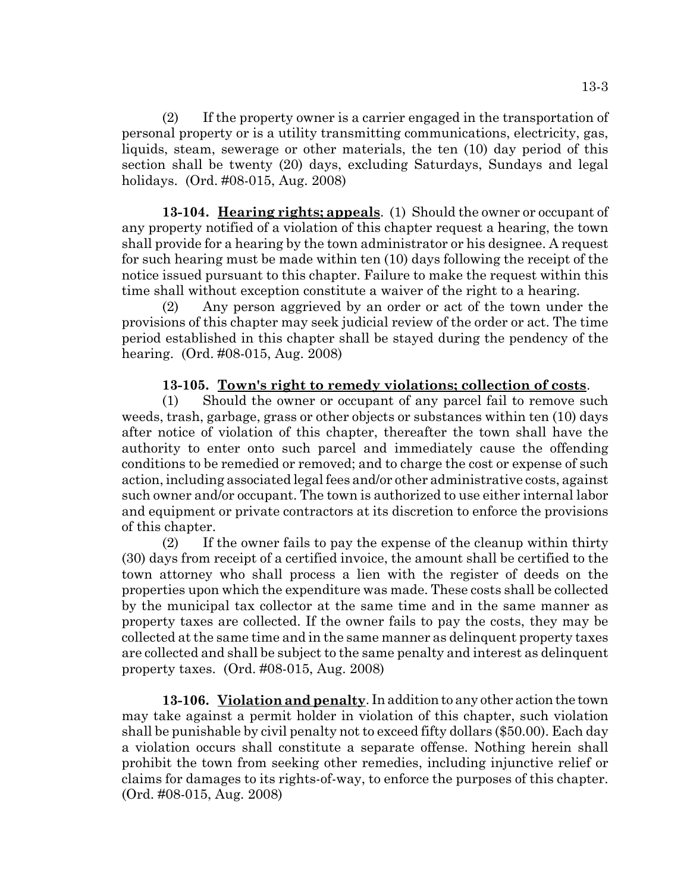(2) If the property owner is a carrier engaged in the transportation of personal property or is a utility transmitting communications, electricity, gas, liquids, steam, sewerage or other materials, the ten (10) day period of this section shall be twenty (20) days, excluding Saturdays, Sundays and legal holidays. (Ord. #08-015, Aug. 2008)

**13-104. Hearing rights; appeals**. (1) Should the owner or occupant of any property notified of a violation of this chapter request a hearing, the town shall provide for a hearing by the town administrator or his designee. A request for such hearing must be made within ten (10) days following the receipt of the notice issued pursuant to this chapter. Failure to make the request within this time shall without exception constitute a waiver of the right to a hearing.

(2) Any person aggrieved by an order or act of the town under the provisions of this chapter may seek judicial review of the order or act. The time period established in this chapter shall be stayed during the pendency of the hearing. (Ord. #08-015, Aug. 2008)

# **13-105. Town's right to remedy violations; collection of costs**.

(1) Should the owner or occupant of any parcel fail to remove such weeds, trash, garbage, grass or other objects or substances within ten (10) days after notice of violation of this chapter, thereafter the town shall have the authority to enter onto such parcel and immediately cause the offending conditions to be remedied or removed; and to charge the cost or expense of such action, including associated legal fees and/or other administrative costs, against such owner and/or occupant. The town is authorized to use either internal labor and equipment or private contractors at its discretion to enforce the provisions of this chapter.

(2) If the owner fails to pay the expense of the cleanup within thirty (30) days from receipt of a certified invoice, the amount shall be certified to the town attorney who shall process a lien with the register of deeds on the properties upon which the expenditure was made. These costs shall be collected by the municipal tax collector at the same time and in the same manner as property taxes are collected. If the owner fails to pay the costs, they may be collected at the same time and in the same manner as delinquent property taxes are collected and shall be subject to the same penalty and interest as delinquent property taxes. (Ord. #08-015, Aug. 2008)

**13-106. Violation and penalty**. In addition to any other action the town may take against a permit holder in violation of this chapter, such violation shall be punishable by civil penalty not to exceed fifty dollars (\$50.00). Each day a violation occurs shall constitute a separate offense. Nothing herein shall prohibit the town from seeking other remedies, including injunctive relief or claims for damages to its rights-of-way, to enforce the purposes of this chapter. (Ord. #08-015, Aug. 2008)